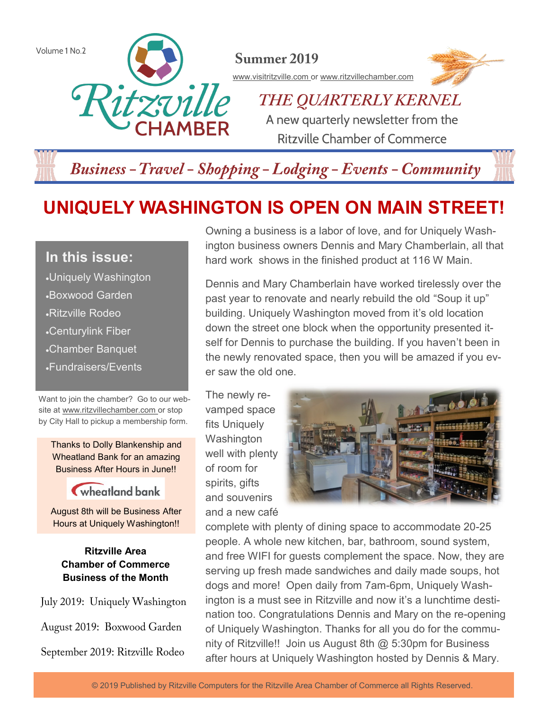

## **Business - Travel - Shopping - Lodging - Events - Community**

# **UNIQUELY WASHINGTON IS OPEN ON MAIN STREET!**

### **In this issue:**

- •Uniquely Washington
- •Boxwood Garden
- •Ritzville Rodeo
- •Centurylink Fiber
- •Chamber Banquet
- •Fundraisers/Events

Want to join the chamber? Go to our website at www.ritzvillechamber.com or stop by City Hall to pickup a membership form.

Thanks to Dolly Blankenship and Wheatland Bank for an amazing Business After Hours in June!!

### wheatland bank

August 8th will be Business After Hours at Uniquely Washington!!

#### **Ritzville Area Chamber of Commerce Business of the Month**

July 2019: Uniquely Washington August 2019: Boxwood Garden September 2019: Ritzville Rodeo

Owning a business is a labor of love, and for Uniquely Washington business owners Dennis and Mary Chamberlain, all that hard work shows in the finished product at 116 W Main.

Dennis and Mary Chamberlain have worked tirelessly over the past year to renovate and nearly rebuild the old "Soup it up" building. Uniquely Washington moved from it's old location down the street one block when the opportunity presented itself for Dennis to purchase the building. If you haven't been in the newly renovated space, then you will be amazed if you ever saw the old one.

The newly revamped space fits Uniquely **Washington** well with plenty of room for spirits, gifts and souvenirs and a new café



complete with plenty of dining space to accommodate 20-25 people. A whole new kitchen, bar, bathroom, sound system, and free WIFI for guests complement the space. Now, they are serving up fresh made sandwiches and daily made soups, hot dogs and more! Open daily from 7am-6pm, Uniquely Washington is a must see in Ritzville and now it's a lunchtime destination too. Congratulations Dennis and Mary on the re-opening of Uniquely Washington. Thanks for all you do for the community of Ritzville!! Join us August 8th  $@$  5:30pm for Business after hours at Uniquely Washington hosted by Dennis & Mary.